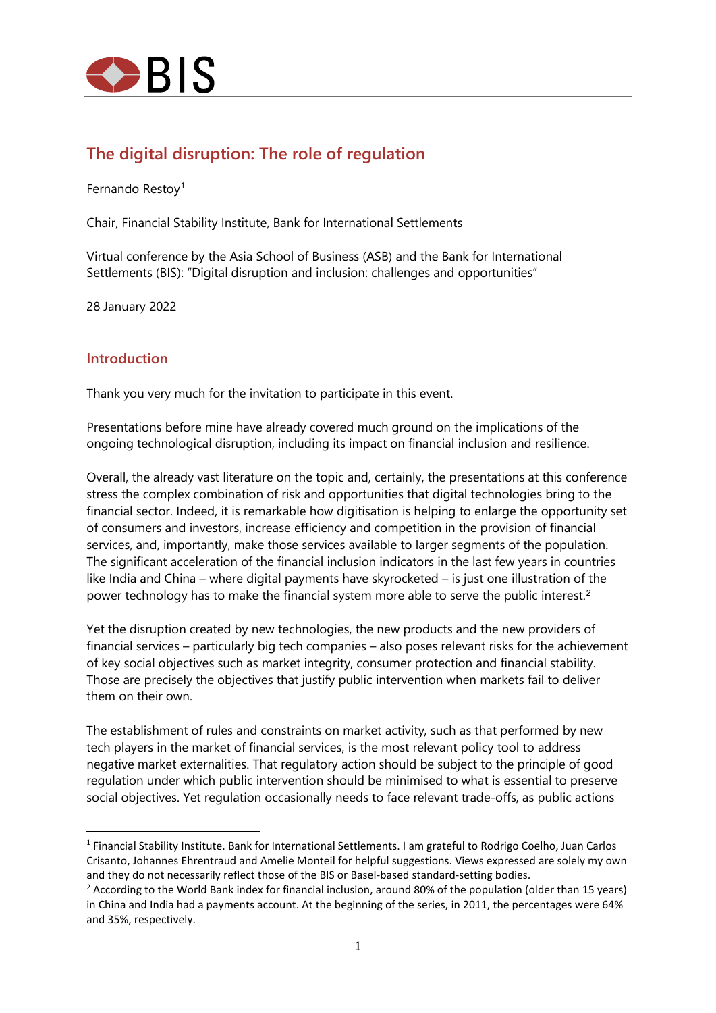

# **The digital disruption: The role of regulation**

Fernando Restoy<sup>[1](#page-0-0)</sup>

Chair, Financial Stability Institute, Bank for International Settlements

Virtual conference by the Asia School of Business (ASB) and the Bank for International Settlements (BIS): "Digital disruption and inclusion: challenges and opportunities"

28 January 2022

#### **Introduction**

Thank you very much for the invitation to participate in this event.

Presentations before mine have already covered much ground on the implications of the ongoing technological disruption, including its impact on financial inclusion and resilience.

Overall, the already vast literature on the topic and, certainly, the presentations at this conference stress the complex combination of risk and opportunities that digital technologies bring to the financial sector. Indeed, it is remarkable how digitisation is helping to enlarge the opportunity set of consumers and investors, increase efficiency and competition in the provision of financial services, and, importantly, make those services available to larger segments of the population. The significant acceleration of the financial inclusion indicators in the last few years in countries like India and China – where digital payments have skyrocketed – is just one illustration of the power technology has to make the financial system more able to serve the public interest.<sup>[2](#page-0-1)</sup>

Yet the disruption created by new technologies, the new products and the new providers of financial services – particularly big tech companies – also poses relevant risks for the achievement of key social objectives such as market integrity, consumer protection and financial stability. Those are precisely the objectives that justify public intervention when markets fail to deliver them on their own.

The establishment of rules and constraints on market activity, such as that performed by new tech players in the market of financial services, is the most relevant policy tool to address negative market externalities. That regulatory action should be subject to the principle of good regulation under which public intervention should be minimised to what is essential to preserve social objectives. Yet regulation occasionally needs to face relevant trade-offs, as public actions

<span id="page-0-0"></span><sup>1</sup> Financial Stability Institute. Bank for International Settlements. I am grateful to Rodrigo Coelho, Juan Carlos Crisanto, Johannes Ehrentraud and Amelie Monteil for helpful suggestions. Views expressed are solely my own and they do not necessarily reflect those of the BIS or Basel-based standard-setting bodies.

<span id="page-0-1"></span><sup>&</sup>lt;sup>2</sup> According to the World Bank index for financial inclusion, around 80% of the population (older than 15 years) in China and India had a payments account. At the beginning of the series, in 2011, the percentages were 64% and 35%, respectively.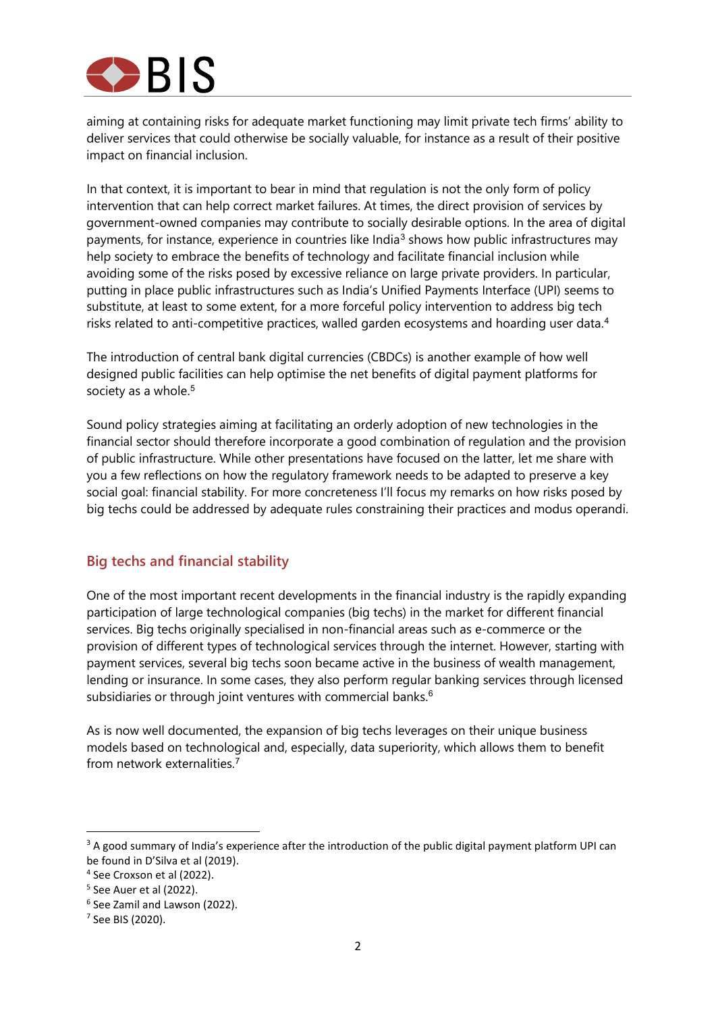

aiming at containing risks for adequate market functioning may limit private tech firms' ability to deliver services that could otherwise be socially valuable, for instance as a result of their positive impact on financial inclusion.

In that context, it is important to bear in mind that regulation is not the only form of policy intervention that can help correct market failures. At times, the direct provision of services by government-owned companies may contribute to socially desirable options. In the area of digital payments, for instance, experience in countries like India<sup>[3](#page-1-0)</sup> shows how public infrastructures may help society to embrace the benefits of technology and facilitate financial inclusion while avoiding some of the risks posed by excessive reliance on large private providers. In particular, putting in place public infrastructures such as India's Unified Payments Interface (UPI) seems to substitute, at least to some extent, for a more forceful policy intervention to address big tech risks related to anti-competitive practices, walled garden ecosystems and hoarding user data. [4](#page-1-1)

The introduction of central bank digital currencies (CBDCs) is another example of how well designed public facilities can help optimise the net benefits of digital payment platforms for society as a whole.<sup>[5](#page-1-2)</sup>

Sound policy strategies aiming at facilitating an orderly adoption of new technologies in the financial sector should therefore incorporate a good combination of regulation and the provision of public infrastructure. While other presentations have focused on the latter, let me share with you a few reflections on how the regulatory framework needs to be adapted to preserve a key social goal: financial stability. For more concreteness I'll focus my remarks on how risks posed by big techs could be addressed by adequate rules constraining their practices and modus operandi.

#### **Big techs and financial stability**

One of the most important recent developments in the financial industry is the rapidly expanding participation of large technological companies (big techs) in the market for different financial services. Big techs originally specialised in non-financial areas such as e-commerce or the provision of different types of technological services through the internet. However, starting with payment services, several big techs soon became active in the business of wealth management, lending or insurance. In some cases, they also perform regular banking services through licensed subsidiaries or through joint ventures with commercial banks. [6](#page-1-3)

As is now well documented, the expansion of big techs leverages on their unique business models based on technological and, especially, data superiority, which allows them to benefit from network externalities. [7](#page-1-4)

<span id="page-1-0"></span><sup>&</sup>lt;sup>3</sup> A good summary of India's experience after the introduction of the public digital payment platform UPI can be found in D'Silva et al (2019).

<span id="page-1-1"></span><sup>4</sup> See Croxson et al (2022).

<span id="page-1-2"></span> $5$  See Auer et al (2022).

<span id="page-1-3"></span><sup>6</sup> See Zamil and Lawson (2022).

<span id="page-1-4"></span><sup>7</sup> See BIS (2020).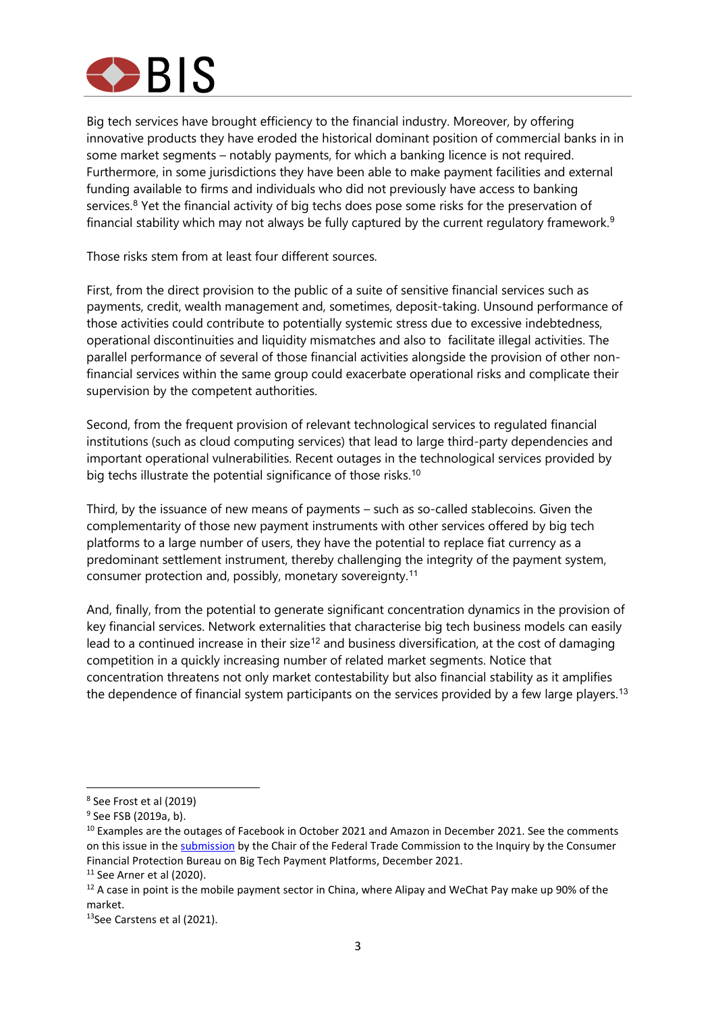

Big tech services have brought efficiency to the financial industry. Moreover, by offering innovative products they have eroded the historical dominant position of commercial banks in in some market segments – notably payments, for which a banking licence is not required. Furthermore, in some jurisdictions they have been able to make payment facilities and external funding available to firms and individuals who did not previously have access to banking services.<sup>[8](#page-2-0)</sup> Yet the financial activity of big techs does pose some risks for the preservation of financial stability which may not always be fully captured by the current regulatory framework.<sup>[9](#page-2-1)</sup>

Those risks stem from at least four different sources.

First, from the direct provision to the public of a suite of sensitive financial services such as payments, credit, wealth management and, sometimes, deposit-taking. Unsound performance of those activities could contribute to potentially systemic stress due to excessive indebtedness, operational discontinuities and liquidity mismatches and also to facilitate illegal activities. The parallel performance of several of those financial activities alongside the provision of other nonfinancial services within the same group could exacerbate operational risks and complicate their supervision by the competent authorities.

Second, from the frequent provision of relevant technological services to regulated financial institutions (such as cloud computing services) that lead to large third-party dependencies and important operational vulnerabilities. Recent outages in the technological services provided by big techs illustrate the potential significance of those risks.<sup>[10](#page-2-2)</sup>

Third, by the issuance of new means of payments – such as so-called stablecoins. Given the complementarity of those new payment instruments with other services offered by big tech platforms to a large number of users, they have the potential to replace fiat currency as a predominant settlement instrument, thereby challenging the integrity of the payment system, consumer protection and, possibly, monetary sovereignty. [11](#page-2-3)

And, finally, from the potential to generate significant concentration dynamics in the provision of key financial services. Network externalities that characterise big tech business models can easily lead to a continued increase in their size<sup>[12](#page-2-4)</sup> and business diversification, at the cost of damaging competition in a quickly increasing number of related market segments. Notice that concentration threatens not only market contestability but also financial stability as it amplifies the dependence of financial system participants on the services provided by a few large players.<sup>[13](#page-2-5)</sup>

<span id="page-2-0"></span> $8$  See Frost et al (2019)<br> $9$  See FSB (2019a, b).

<span id="page-2-1"></span>

<span id="page-2-2"></span> $10$  Examples are the outages of Facebook in October 2021 and Amazon in December 2021. See the comments on this issue in the [submission](https://www.ftc.gov/public-statements/2021/12/comment-submission-chair-lina-m-khan-cfpbs-inquiry-big-tech-payment) by the Chair of the Federal Trade Commission to the Inquiry by the Consumer Financial Protection Bureau on Big Tech Payment Platforms, December 2021.

<span id="page-2-3"></span> $11$  See Arner et al (2020).

<span id="page-2-4"></span> $12$  A case in point is the mobile payment sector in China, where Alipay and WeChat Pay make up 90% of the market.

<span id="page-2-5"></span><sup>13</sup>See Carstens et al (2021).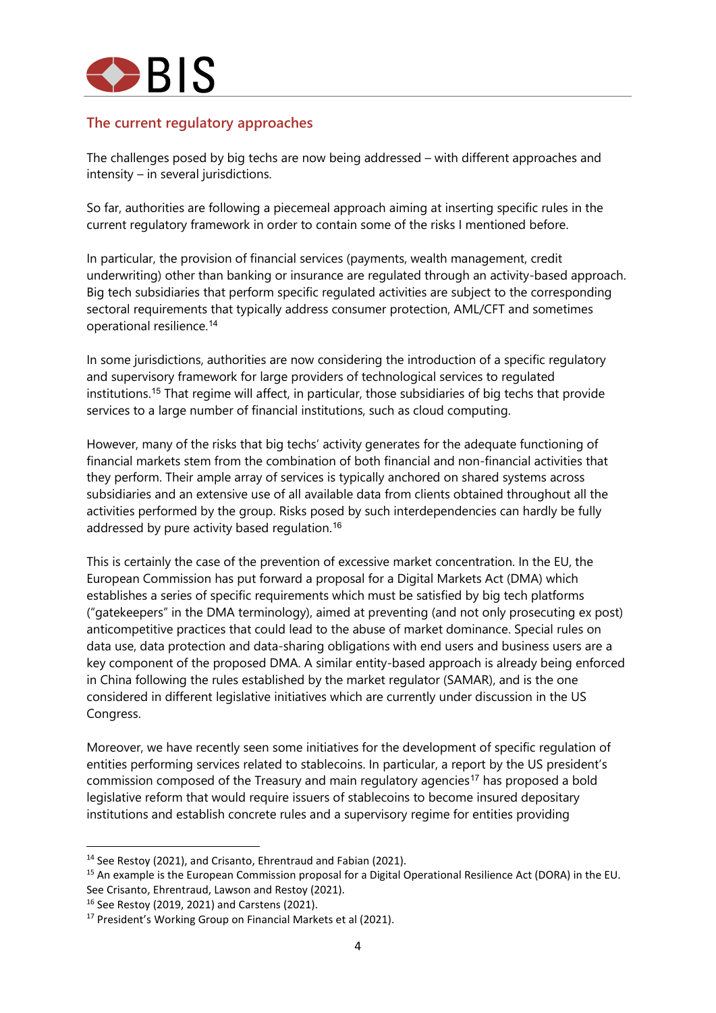

## **The current regulatory approaches**

The challenges posed by big techs are now being addressed – with different approaches and intensity – in several jurisdictions.

So far, authorities are following a piecemeal approach aiming at inserting specific rules in the current regulatory framework in order to contain some of the risks I mentioned before.

In particular, the provision of financial services (payments, wealth management, credit underwriting) other than banking or insurance are regulated through an activity-based approach. Big tech subsidiaries that perform specific regulated activities are subject to the corresponding sectoral requirements that typically address consumer protection, AML/CFT and sometimes operational resilience. [14](#page-3-0)

In some jurisdictions, authorities are now considering the introduction of a specific regulatory and supervisory framework for large providers of technological services to regulated institutions. [15](#page-3-1) That regime will affect, in particular, those subsidiaries of big techs that provide services to a large number of financial institutions, such as cloud computing.

However, many of the risks that big techs' activity generates for the adequate functioning of financial markets stem from the combination of both financial and non-financial activities that they perform. Their ample array of services is typically anchored on shared systems across subsidiaries and an extensive use of all available data from clients obtained throughout all the activities performed by the group. Risks posed by such interdependencies can hardly be fully addressed by pure activity based regulation. [16](#page-3-2)

This is certainly the case of the prevention of excessive market concentration. In the EU, the European Commission has put forward a proposal for a Digital Markets Act (DMA) which establishes a series of specific requirements which must be satisfied by big tech platforms ("gatekeepers" in the DMA terminology), aimed at preventing (and not only prosecuting ex post) anticompetitive practices that could lead to the abuse of market dominance. Special rules on data use, data protection and data-sharing obligations with end users and business users are a key component of the proposed DMA. A similar entity-based approach is already being enforced in China following the rules established by the market regulator (SAMAR), and is the one considered in different legislative initiatives which are currently under discussion in the US Congress.

Moreover, we have recently seen some initiatives for the development of specific regulation of entities performing services related to stablecoins. In particular, a report by the US president's commission composed of the Treasury and main regulatory agencies<sup>[17](#page-3-3)</sup> has proposed a bold legislative reform that would require issuers of stablecoins to become insured depositary institutions and establish concrete rules and a supervisory regime for entities providing

<span id="page-3-0"></span><sup>&</sup>lt;sup>14</sup> See Restov (2021), and Crisanto, Ehrentraud and Fabian (2021).

<span id="page-3-1"></span><sup>&</sup>lt;sup>15</sup> An example is the European Commission proposal for a Digital Operational Resilience Act (DORA) in the EU. See Crisanto, Ehrentraud, Lawson and Restoy (2021).

<span id="page-3-2"></span><sup>16</sup> See Restoy (2019, 2021) and Carstens (2021).

<span id="page-3-3"></span><sup>17</sup> President's Working Group on Financial Markets et al (2021).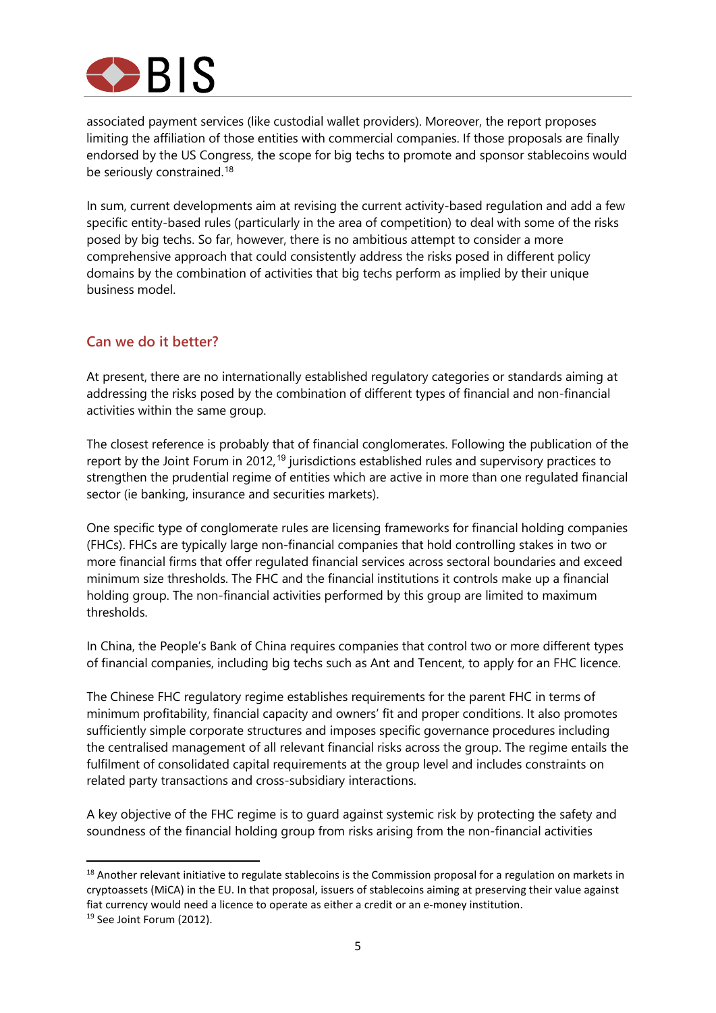

associated payment services (like custodial wallet providers). Moreover, the report proposes limiting the affiliation of those entities with commercial companies. If those proposals are finally endorsed by the US Congress, the scope for big techs to promote and sponsor stablecoins would be seriously constrained.<sup>[18](#page-4-0)</sup>

In sum, current developments aim at revising the current activity-based regulation and add a few specific entity-based rules (particularly in the area of competition) to deal with some of the risks posed by big techs. So far, however, there is no ambitious attempt to consider a more comprehensive approach that could consistently address the risks posed in different policy domains by the combination of activities that big techs perform as implied by their unique business model.

## **Can we do it better?**

At present, there are no internationally established regulatory categories or standards aiming at addressing the risks posed by the combination of different types of financial and non-financial activities within the same group.

The closest reference is probably that of financial conglomerates. Following the publication of the report by the Joint Forum in 2012,<sup>[19](#page-4-1)</sup> jurisdictions established rules and supervisory practices to strengthen the prudential regime of entities which are active in more than one regulated financial sector (ie banking, insurance and securities markets).

One specific type of conglomerate rules are licensing frameworks for financial holding companies (FHCs). FHCs are typically large non-financial companies that hold controlling stakes in two or more financial firms that offer regulated financial services across sectoral boundaries and exceed minimum size thresholds. The FHC and the financial institutions it controls make up a financial holding group. The non-financial activities performed by this group are limited to maximum thresholds.

In China, the People's Bank of China requires companies that control two or more different types of financial companies, including big techs such as Ant and Tencent, to apply for an FHC licence.

The Chinese FHC regulatory regime establishes requirements for the parent FHC in terms of minimum profitability, financial capacity and owners' fit and proper conditions. It also promotes sufficiently simple corporate structures and imposes specific governance procedures including the centralised management of all relevant financial risks across the group. The regime entails the fulfilment of consolidated capital requirements at the group level and includes constraints on related party transactions and cross-subsidiary interactions.

A key objective of the FHC regime is to guard against systemic risk by protecting the safety and soundness of the financial holding group from risks arising from the non-financial activities

<span id="page-4-0"></span><sup>&</sup>lt;sup>18</sup> Another relevant initiative to regulate stablecoins is the Commission proposal for a regulation on markets in cryptoassets (MiCA) in the EU. In that proposal, issuers of stablecoins aiming at preserving their value against fiat currency would need a licence to operate as either a credit or an e-money institution.

<span id="page-4-1"></span><sup>19</sup> See Joint Forum (2012).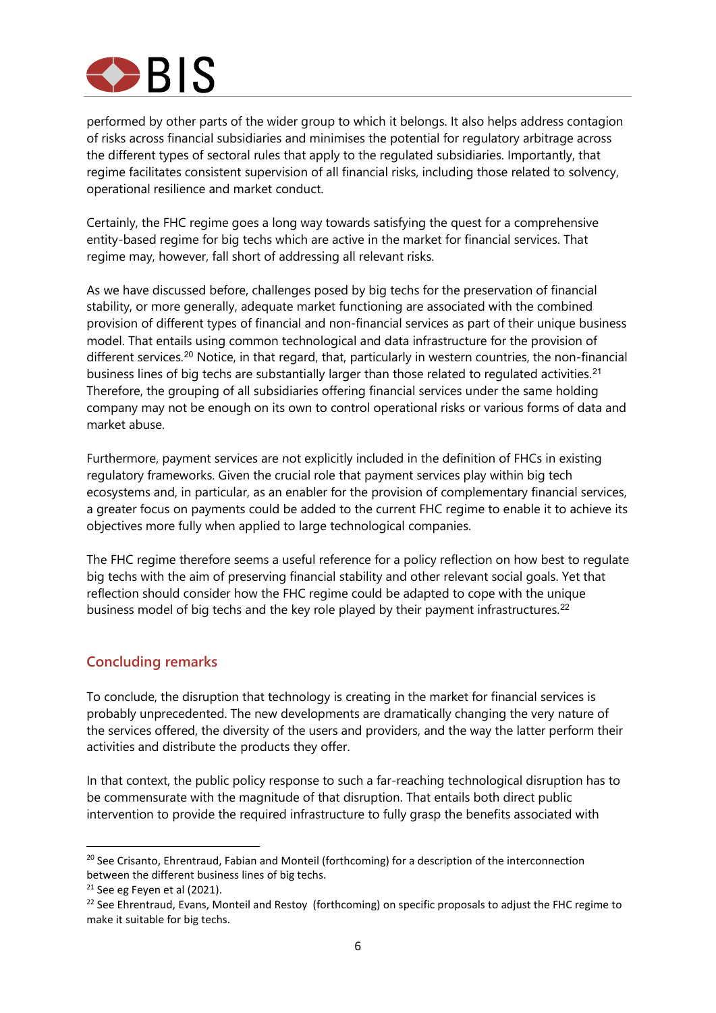

performed by other parts of the wider group to which it belongs. It also helps address contagion of risks across financial subsidiaries and minimises the potential for regulatory arbitrage across the different types of sectoral rules that apply to the regulated subsidiaries. Importantly, that regime facilitates consistent supervision of all financial risks, including those related to solvency, operational resilience and market conduct.

Certainly, the FHC regime goes a long way towards satisfying the quest for a comprehensive entity-based regime for big techs which are active in the market for financial services. That regime may, however, fall short of addressing all relevant risks.

As we have discussed before, challenges posed by big techs for the preservation of financial stability, or more generally, adequate market functioning are associated with the combined provision of different types of financial and non-financial services as part of their unique business model. That entails using common technological and data infrastructure for the provision of different services.<sup>[20](#page-5-0)</sup> Notice, in that regard, that, particularly in western countries, the non-financial business lines of big techs are substantially larger than those related to regulated activities.<sup>[21](#page-5-1)</sup> Therefore, the grouping of all subsidiaries offering financial services under the same holding company may not be enough on its own to control operational risks or various forms of data and market abuse.

Furthermore, payment services are not explicitly included in the definition of FHCs in existing regulatory frameworks. Given the crucial role that payment services play within big tech ecosystems and, in particular, as an enabler for the provision of complementary financial services, a greater focus on payments could be added to the current FHC regime to enable it to achieve its objectives more fully when applied to large technological companies.

The FHC regime therefore seems a useful reference for a policy reflection on how best to regulate big techs with the aim of preserving financial stability and other relevant social goals. Yet that reflection should consider how the FHC regime could be adapted to cope with the unique business model of big techs and the key role played by their payment infrastructures.<sup>[22](#page-5-2)</sup>

# **Concluding remarks**

To conclude, the disruption that technology is creating in the market for financial services is probably unprecedented. The new developments are dramatically changing the very nature of the services offered, the diversity of the users and providers, and the way the latter perform their activities and distribute the products they offer.

In that context, the public policy response to such a far-reaching technological disruption has to be commensurate with the magnitude of that disruption. That entails both direct public intervention to provide the required infrastructure to fully grasp the benefits associated with

<span id="page-5-0"></span><sup>&</sup>lt;sup>20</sup> See Crisanto, Ehrentraud, Fabian and Monteil (forthcoming) for a description of the interconnection between the different business lines of big techs.

<span id="page-5-1"></span> $21$  See eg Feyen et al (2021).

<span id="page-5-2"></span><sup>&</sup>lt;sup>22</sup> See Ehrentraud, Evans, Monteil and Restoy (forthcoming) on specific proposals to adjust the FHC regime to make it suitable for big techs.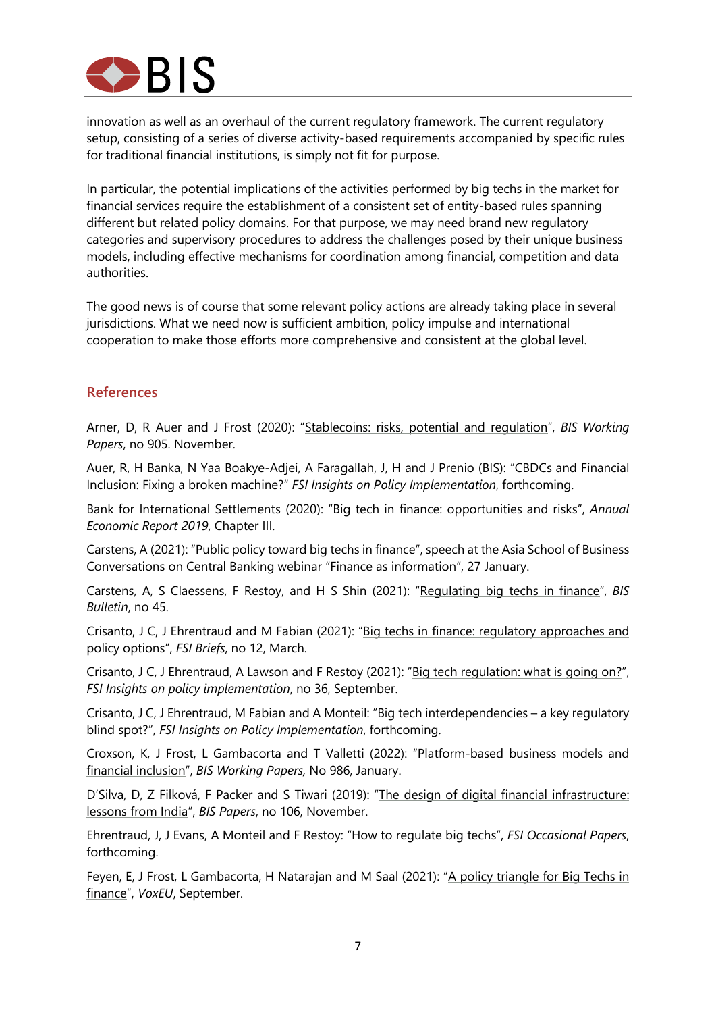

innovation as well as an overhaul of the current regulatory framework. The current regulatory setup, consisting of a series of diverse activity-based requirements accompanied by specific rules for traditional financial institutions, is simply not fit for purpose.

In particular, the potential implications of the activities performed by big techs in the market for financial services require the establishment of a consistent set of entity-based rules spanning different but related policy domains. For that purpose, we may need brand new regulatory categories and supervisory procedures to address the challenges posed by their unique business models, including effective mechanisms for coordination among financial, competition and data authorities.

The good news is of course that some relevant policy actions are already taking place in several jurisdictions. What we need now is sufficient ambition, policy impulse and international cooperation to make those efforts more comprehensive and consistent at the global level.

#### **References**

Arner, D, R Auer and J Frost (2020): ["Stablecoins: risks, potential and regulation"](https://www.bis.org/publ/work905.htm), *BIS Working Papers*, no 905. November.

Auer, R, H Banka, N Yaa Boakye-Adjei, A Faragallah, J, H and J Prenio (BIS): "CBDCs and Financial Inclusion: Fixing a broken machine?" *FSI Insights on Policy Implementation*, forthcoming.

Bank for International Settlements (2020): ["Big tech in finance: opportunities and risks"](https://www.bis.org/publ/arpdf/ar2019e3.pdf), *Annual Economic Report 2019*, Chapter III.

Carstens, A (2021): "Public policy toward big techs in finance", speech at the Asia School of Business Conversations on Central Banking webinar "Finance as information", 27 January.

Carstens, A, S Claessens, F Restoy, and H S Shin (2021): ["Regulating big techs in finance"](https://www.bis.org/publ/bisbull45.htm), *BIS Bulletin*, no 45.

Crisanto, J C, J Ehrentraud and M Fabian (2021): ["Big techs in finance: regulatory approaches and](https://www.bis.org/fsi/fsibriefs12.htm)  [policy options"](https://www.bis.org/fsi/fsibriefs12.htm), *FSI Briefs*, no 12, March.

Crisanto, J C, J Ehrentraud, A Lawson and F Restoy (2021): ["Big tech regulation: what is going on?"](https://www.bis.org/fsi/publ/insights36.htm), *FSI Insights on policy implementation*, no 36, September.

Crisanto, J C, J Ehrentraud, M Fabian and A Monteil: "Big tech interdependencies – a key regulatory blind spot?", *FSI Insights on Policy Implementation*, forthcoming.

Croxson, K, J Frost, L Gambacorta and T Valletti (2022): ["Platform-based business models and](https://www.bis.org/publ/work986.htm)  [financial inclusion"](https://www.bis.org/publ/work986.htm), *BIS Working Papers,* No 986, January.

D'Silva, D, Z Filková, F Packer and S Tiwari (2019): "The design of digital financial infrastructure: [lessons from India"](https://www.bis.org/publ/bppdf/bispap106.htm), *BIS Papers*, no 106, November.

Ehrentraud, J, J Evans, A Monteil and F Restoy: "How to regulate big techs", *FSI Occasional Papers*, forthcoming.

Feyen, E, J Frost, L Gambacorta, H Natarajan and M Saal (2021): ["A policy triangle for Big Techs in](https://voxeu.org/article/policy-triangle-big-techs-finance)  [finance"](https://voxeu.org/article/policy-triangle-big-techs-finance), *VoxEU*, September.